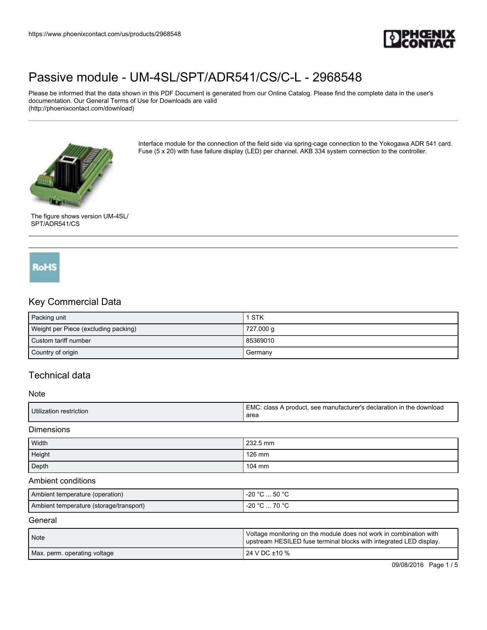

Please be informed that the data shown in this PDF Document is generated from our Online Catalog. Please find the complete data in the user's documentation. Our General Terms of Use for Downloads are valid (http://phoenixcontact.com/download)



Interface module for the connection of the field side via spring-cage connection to the Yokogawa ADR 541 card. Fuse (5 x 20) with fuse failure display (LED) per channel. AKB 334 system connection to the controller.



# **RoHS**

### Key Commercial Data

| Packing unit                         | 1 STK     |
|--------------------------------------|-----------|
| Weight per Piece (excluding packing) | 727.000 g |
| Custom tariff number                 | 85369010  |
| Country of origin                    | Germany   |

## Technical data

#### Note

|  | Utilization<br>ı restriction | ΞMC<br>, the<br>declaration in ن<br>see manufacturer's<br>download<br>class<br>A produci.<br>area |
|--|------------------------------|---------------------------------------------------------------------------------------------------|
|--|------------------------------|---------------------------------------------------------------------------------------------------|

Dimensions

| Width  | 232.5 mm |
|--------|----------|
| Height | 126 mm   |
| Depth  | 104 mm   |

#### Ambient conditions

| Ambient temperature (operation)         | $^{\circ}$ C  50 $^{\circ}$ C<br>-20 °C |
|-----------------------------------------|-----------------------------------------|
| Ambient temperature (storage/transport) | -20 $^{\circ}$ C<br>70 °C<br>ັບ         |

#### **General**

| Note                         | Voltage monitoring on the module does not work in combination with<br>upstream HESILED fuse terminal blocks with integrated LED display. |
|------------------------------|------------------------------------------------------------------------------------------------------------------------------------------|
| Max. perm. operating voltage | 1 24 V DC ±10 %                                                                                                                          |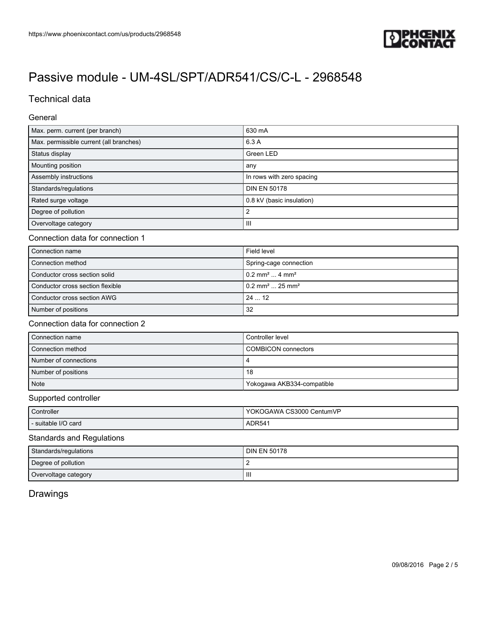

## Technical data

General

| Max. perm. current (per branch)         | 630 mA                    |
|-----------------------------------------|---------------------------|
| Max. permissible current (all branches) | 6.3 A                     |
| Status display                          | Green LED                 |
| Mounting position                       | any                       |
| Assembly instructions                   | In rows with zero spacing |
| Standards/regulations                   | <b>DIN EN 50178</b>       |
| Rated surge voltage                     | 0.8 kV (basic insulation) |
| Degree of pollution                     |                           |
| Overvoltage category                    | Ш                         |

#### Connection data for connection 1

| Connection name                  | Field level                               |
|----------------------------------|-------------------------------------------|
| Connection method                | Spring-cage connection                    |
| Conductor cross section solid    | $0.2$ mm <sup>2</sup> 4 mm <sup>2</sup>   |
| Conductor cross section flexible | $10.2$ mm <sup>2</sup> 25 mm <sup>2</sup> |
| Conductor cross section AWG      | 2412                                      |
| Number of positions              | 32                                        |

### Connection data for connection 2

| Connection name       | Controller level           |
|-----------------------|----------------------------|
| Connection method     | COMBICON connectors        |
| Number of connections |                            |
| Number of positions   | 18                         |
| Note                  | Yokogawa AKB334-compatible |

#### Supported controller

| Controller            | YOKOGAWA CS3000 CentumVP |
|-----------------------|--------------------------|
| I - suitable I/O card | ADR <sub>54</sub>        |

### Standards and Regulations

| Standards/regulations | <b>DIN EN 50178</b> |
|-----------------------|---------------------|
| Degree of pollution   |                     |
| Overvoltage category  | Ш                   |

# Drawings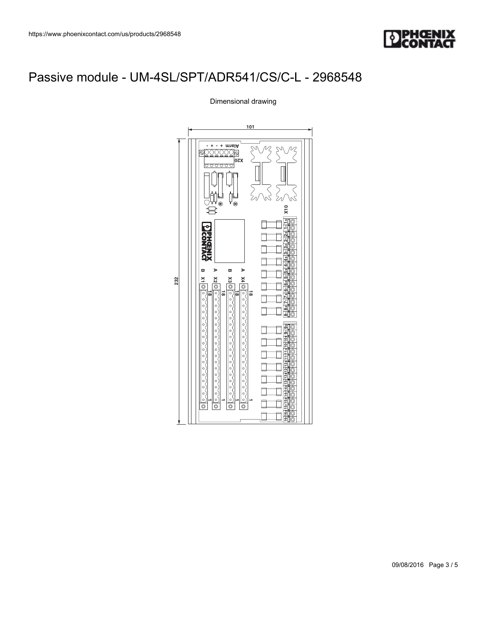

Dimensional drawing

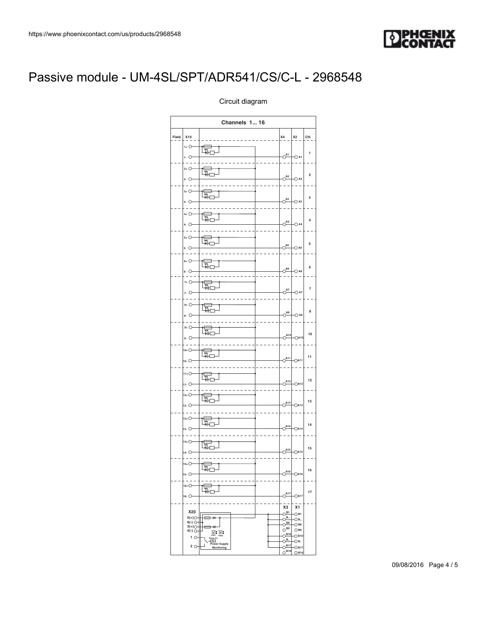

| 3548                                                                                                                                                                                                                                                                                                                                                                                                                                                                                                                                                                                                                                                                                                                                                                                                                                                                                                                                                   | <b>DPHŒNIX</b><br><b>CONTACT</b> |  |  |
|--------------------------------------------------------------------------------------------------------------------------------------------------------------------------------------------------------------------------------------------------------------------------------------------------------------------------------------------------------------------------------------------------------------------------------------------------------------------------------------------------------------------------------------------------------------------------------------------------------------------------------------------------------------------------------------------------------------------------------------------------------------------------------------------------------------------------------------------------------------------------------------------------------------------------------------------------------|----------------------------------|--|--|
| L/SPT/ADR541/CS/C-L - 2968548                                                                                                                                                                                                                                                                                                                                                                                                                                                                                                                                                                                                                                                                                                                                                                                                                                                                                                                          |                                  |  |  |
| Circuit diagram<br>Channels 1 16                                                                                                                                                                                                                                                                                                                                                                                                                                                                                                                                                                                                                                                                                                                                                                                                                                                                                                                       |                                  |  |  |
| $x_4$ $x_2$ $c$ H.<br>Field $x_{10}$<br>$1 + 0 -$<br>t<br>E<br>$\overline{1}$<br>$\circlearrowright^{\mathsf{A1}}$<br>$ -$<br>$-$ O A1                                                                                                                                                                                                                                                                                                                                                                                                                                                                                                                                                                                                                                                                                                                                                                                                                 |                                  |  |  |
| $2+$ 0<br><b>Fill</b><br>$\,$ 2 $\,$<br>$\circ$ <sup>A2</sup> OA2<br>$2 - 0$<br>$3+$ 0-<br><b>FI</b><br>$\mathbf{3}$<br>$\circ$ <sup>A3</sup> OA3                                                                                                                                                                                                                                                                                                                                                                                                                                                                                                                                                                                                                                                                                                                                                                                                      |                                  |  |  |
| $3.$ $O-$<br>.<br>$4+$ O-<br><b>Foll</b><br>$\sqrt{4}$<br>$\circ$ <sup>A4</sup> $\circ$ A4<br>$4 \circlearrowright$                                                                                                                                                                                                                                                                                                                                                                                                                                                                                                                                                                                                                                                                                                                                                                                                                                    |                                  |  |  |
| $5+$ $O-$<br>飼<br>$5\phantom{.0}$<br>$O^{AS}$ $\bigcirc$ A <sub>5</sub><br>$5.$ $\circ$<br>$- -$<br>$\sim$ $\sim$<br>.<br>$6+$ $\bigcirc$<br>t<br>E<br>$\,$ 6 $\,$<br>$\circ$ <sup>A6</sup><br>$ \circ$ A6<br>$6 \circlearrowright$                                                                                                                                                                                                                                                                                                                                                                                                                                                                                                                                                                                                                                                                                                                    |                                  |  |  |
| $- - -$<br>.<br>$7+$ O-<br><b>Follow</b><br>$\overline{7}$<br>$OA7$ $O A7$<br>$7.0-$<br>$8+$ $\bigcirc$<br>t<br>村<br>1<br>8                                                                                                                                                                                                                                                                                                                                                                                                                                                                                                                                                                                                                                                                                                                                                                                                                            |                                  |  |  |
| $\circ$ <sup>A8</sup> $\circ$ A8<br>$\bullet$ 0-<br>$9+$ O<br>飼<br>$10\,$<br>$O^{A10}$ OA10<br>$\overline{1}_{9}$ . $\overline{0}$                                                                                                                                                                                                                                                                                                                                                                                                                                                                                                                                                                                                                                                                                                                                                                                                                     |                                  |  |  |
| $10+O^{-}$<br><b>Figure</b><br>$11\,$<br>$\circ$ <sup>411</sup> $\circ$ <sub>411</sub><br>$10 - 10$<br>$11+O-$<br>飼<br>$\mathbf{12}$<br>$OA12$ $OA12$<br>$11.0 -$                                                                                                                                                                                                                                                                                                                                                                                                                                                                                                                                                                                                                                                                                                                                                                                      |                                  |  |  |
| $12+O-$<br><b>FULL</b><br>13<br>$OA13$ $OA13$<br>$12 - 0$<br>$ -$<br>$13+O-$<br><b>FLI</b>                                                                                                                                                                                                                                                                                                                                                                                                                                                                                                                                                                                                                                                                                                                                                                                                                                                             |                                  |  |  |
| $\bf 14$<br>$O^{A14}$ $OA14$<br>$13 - 0$<br>$14+O-$<br><b>FALL</b><br>${\bf 15}$<br>$\circ$ <sup>A15</sup><br>$\circ$ A15<br>$\circ$<br>$  -$<br>-------------<br>$\sim$ $\sim$                                                                                                                                                                                                                                                                                                                                                                                                                                                                                                                                                                                                                                                                                                                                                                        |                                  |  |  |
| $15+O-$<br><b>The light</b><br>16<br>$\circ$ <sup>A16</sup><br>$\circ$ A16<br>$15 - 0$<br>$\omega\omega\omega$<br>$\sim$ $\sim$<br>$- - - - -$<br>$16+$ $O-$<br>$ \mathbb{R} \rangle$<br>$17\,$<br>$O^{A17}$ $O^{A17}$<br>$16 - 0$                                                                                                                                                                                                                                                                                                                                                                                                                                                                                                                                                                                                                                                                                                                     |                                  |  |  |
| $- - -$<br>$- - - -$<br>$\begin{tabular}{r c c} & $\mathbf{-}$ & $\mathbf{-}$ & $\mathbf{-}$ \\ \hline $\mathbf{X3}$ & $\mathbf{X1}$ \\ \hline $\mathbf{0}$ & $\mathbf{B1}$ & $\mathbf{-01}$ \\ \hline $\mathbf{0}$ & $\mathbf{01}$ & $\mathbf{01}$ \\ \hline $\mathbf{0}$ & $\mathbf{010}$ & $\mathbf{010}$ \\ \hline $\mathbf{0}$ & $\mathbf{010}$ & $\mathbf{-010}$ \\ \hline $\mathbf{0}$ & $\mathbf{010}$ & $\mathbf{-010}$ \\ \hline $\mathbf{0}$ & $\mathbf{011}$ & $\mathbf{-011}$ \\ \hline $\mathbf$<br>$\begin{array}{ c c } \hline \text{X20} & \text{---} \\ \hline \text{S(+)}\bigcirc & \text{---} \\ \hline \text{S(+)}\bigcirc & \text{---} \\ \hline \text{S(+)}\bigcirc & \text{---} \\ \text{3(+)}\bigcirc & \text{---} \\ \hline \text{X2} & \text{---} \\ \text{X3} & \text{---} \\ \text{---} \\ \text{---} \\ \hline \text{X2} & \text{---} \\ \text{---} \\ \text{---} \\ \text{---} \\ \hline \text{Mondtoring} \end{array}$ |                                  |  |  |
|                                                                                                                                                                                                                                                                                                                                                                                                                                                                                                                                                                                                                                                                                                                                                                                                                                                                                                                                                        | 09/08/2016 Page 4 / 5            |  |  |